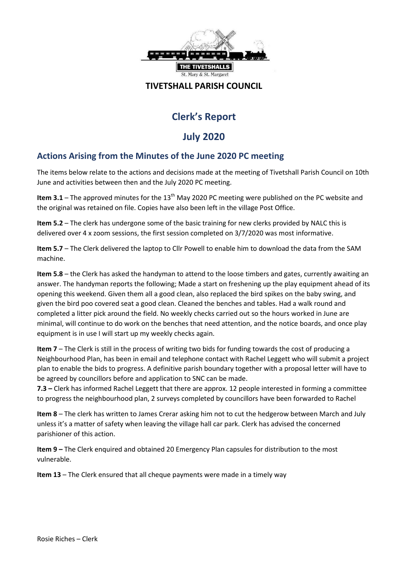

### **TIVETSHALL PARISH COUNCIL**

# **Clerk's Report**

# **July 2020**

# **Actions Arising from the Minutes of the June 2020 PC meeting**

The items below relate to the actions and decisions made at the meeting of Tivetshall Parish Council on 10th June and activities between then and the July 2020 PC meeting.

Item 3.1 – The approved minutes for the 13<sup>th</sup> May 2020 PC meeting were published on the PC website and the original was retained on file. Copies have also been left in the village Post Office.

**Item 5.2** – The clerk has undergone some of the basic training for new clerks provided by NALC this is delivered over 4 x zoom sessions, the first session completed on 3/7/2020 was most informative.

**Item 5.7** – The Clerk delivered the laptop to Cllr Powell to enable him to download the data from the SAM machine.

**Item 5.8** – the Clerk has asked the handyman to attend to the loose timbers and gates, currently awaiting an answer. The handyman reports the following; Made a start on freshening up the play equipment ahead of its opening this weekend. Given them all a good clean, also replaced the bird spikes on the baby swing, and given the bird poo covered seat a good clean. Cleaned the benches and tables. Had a walk round and completed a litter pick around the field. No weekly checks carried out so the hours worked in June are minimal, will continue to do work on the benches that need attention, and the notice boards, and once play equipment is in use I will start up my weekly checks again.

**Item 7** – The Clerk is still in the process of writing two bids for funding towards the cost of producing a Neighbourhood Plan, has been in email and telephone contact with Rachel Leggett who will submit a project plan to enable the bids to progress. A definitive parish boundary together with a proposal letter will have to be agreed by councillors before and application to SNC can be made.

**7.3 –** Clerk has informed Rachel Leggett that there are approx. 12 people interested in forming a committee to progress the neighbourhood plan, 2 surveys completed by councillors have been forwarded to Rachel

**Item 8** – The clerk has written to James Crerar asking him not to cut the hedgerow between March and July unless it's a matter of safety when leaving the village hall car park. Clerk has advised the concerned parishioner of this action.

**Item 9 –** The Clerk enquired and obtained 20 Emergency Plan capsules for distribution to the most vulnerable.

**Item 13** – The Clerk ensured that all cheque payments were made in a timely way